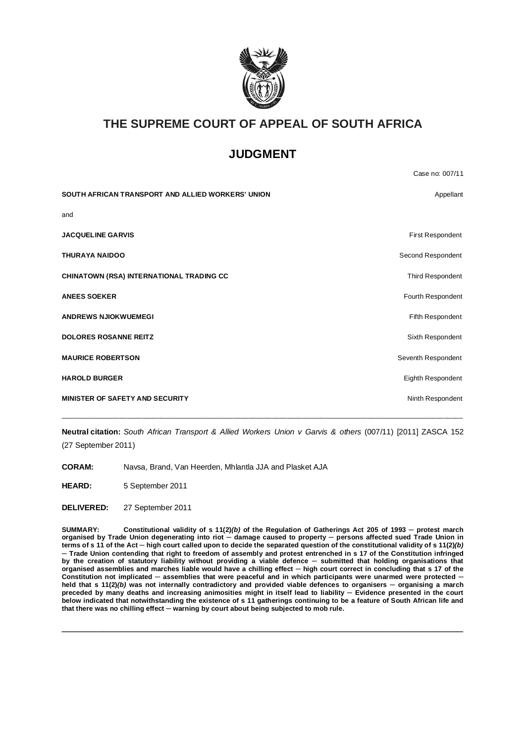

# **THE SUPREME COURT OF APPEAL OF SOUTH AFRICA**

## **JUDGMENT**

|                                                   | Case no: 007/11         |
|---------------------------------------------------|-------------------------|
| SOUTH AFRICAN TRANSPORT AND ALLIED WORKERS' UNION | Appellant               |
| and                                               |                         |
| <b>JACQUELINE GARVIS</b>                          | <b>First Respondent</b> |
| <b>THURAYA NAIDOO</b>                             | Second Respondent       |
| <b>CHINATOWN (RSA) INTERNATIONAL TRADING CC</b>   | Third Respondent        |
| <b>ANEES SOEKER</b>                               | Fourth Respondent       |
| <b>ANDREWS NJIOKWUEMEGI</b>                       | Fifth Respondent        |
| <b>DOLORES ROSANNE REITZ</b>                      | Sixth Respondent        |
| <b>MAURICE ROBERTSON</b>                          | Seventh Respondent      |
| <b>HAROLD BURGER</b>                              | Eighth Respondent       |
| <b>MINISTER OF SAFETY AND SECURITY</b>            | Ninth Respondent        |
|                                                   |                         |

**Neutral citation:** *South African Transport & Allied Workers Union v Garvis & others* (007/11) [2011] ZASCA 152 (27 September 2011)

**CORAM:** Navsa, Brand, Van Heerden, Mhlantla JJA and Plasket AJA

**HEARD:** 5 September 2011

**DELIVERED:** 27 September 2011

**SUMMARY: Constitutional validity of s 11(2)***(b)* **of the Regulation of Gatherings Act 205 of 1993 ─ protest march organised by Trade Union degenerating into riot ─ damage caused to property ─ persons affected sued Trade Union in terms of s 11 of the Act ─ high court called upon to decide the separated question of the constitutional validity of s 11(2)***(b)* **─ Trade Union contending that right to freedom of assembly and protest entrenched in s 17 of the Constitution infringed**  by the creation of statutory liability without providing a viable defence - submitted that holding organisations that **organised assemblies and marches liable would have a chilling effect ─ high court correct in concluding that s 17 of the Constitution not implicated ─ assemblies that were peaceful and in which participants were unarmed were protected ─ held that s 11(2)***(b)* **was not internally contradictory and provided viable defences to organisers ─ organising a march**  preceded by many deaths and increasing animosities might in itself lead to liability — Evidence presented in the court **below indicated that notwithstanding the existence of s 11 gatherings continuing to be a feature of South African life and that there was no chilling effect ─ warning by court about being subjected to mob rule.**

\_\_\_\_\_\_\_\_\_\_\_\_\_\_\_\_\_\_\_\_\_\_\_\_\_\_\_\_\_\_\_\_\_\_\_\_\_\_\_\_\_\_\_\_\_\_\_\_\_\_\_\_\_\_\_\_\_\_\_\_\_\_\_\_\_\_\_\_\_\_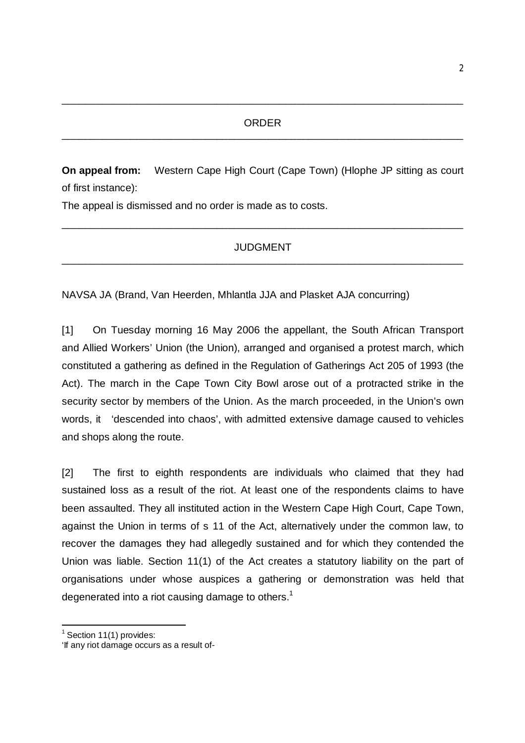\_\_\_\_\_\_\_\_\_\_\_\_\_\_\_\_\_\_\_\_\_\_\_\_\_\_\_\_\_\_\_\_\_\_\_\_\_\_\_\_\_\_\_\_\_\_\_\_\_\_\_\_\_\_\_\_\_\_\_\_\_\_\_\_\_\_\_\_\_\_

**On appeal from:** Western Cape High Court (Cape Town) (Hlophe JP sitting as court of first instance):

The appeal is dismissed and no order is made as to costs.

#### JUDGMENT \_\_\_\_\_\_\_\_\_\_\_\_\_\_\_\_\_\_\_\_\_\_\_\_\_\_\_\_\_\_\_\_\_\_\_\_\_\_\_\_\_\_\_\_\_\_\_\_\_\_\_\_\_\_\_\_\_\_\_\_\_\_\_\_\_\_\_\_\_\_

\_\_\_\_\_\_\_\_\_\_\_\_\_\_\_\_\_\_\_\_\_\_\_\_\_\_\_\_\_\_\_\_\_\_\_\_\_\_\_\_\_\_\_\_\_\_\_\_\_\_\_\_\_\_\_\_\_\_\_\_\_\_\_\_\_\_\_\_\_\_

NAVSA JA (Brand, Van Heerden, Mhlantla JJA and Plasket AJA concurring)

[1] On Tuesday morning 16 May 2006 the appellant, the South African Transport and Allied Workers' Union (the Union), arranged and organised a protest march, which constituted a gathering as defined in the Regulation of Gatherings Act 205 of 1993 (the Act). The march in the Cape Town City Bowl arose out of a protracted strike in the security sector by members of the Union. As the march proceeded, in the Union's own words, it 'descended into chaos', with admitted extensive damage caused to vehicles and shops along the route.

[2] The first to eighth respondents are individuals who claimed that they had sustained loss as a result of the riot. At least one of the respondents claims to have been assaulted. They all instituted action in the Western Cape High Court, Cape Town, against the Union in terms of s 11 of the Act, alternatively under the common law, to recover the damages they had allegedly sustained and for which they contended the Union was liable. Section 11(1) of the Act creates a statutory liability on the part of organisations under whose auspices a gathering or demonstration was held that degenerated into a riot causing damage to others.<sup>1</sup>

**.** 

 $1$  Section 11(1) provides:

<sup>&#</sup>x27;If any riot damage occurs as a result of-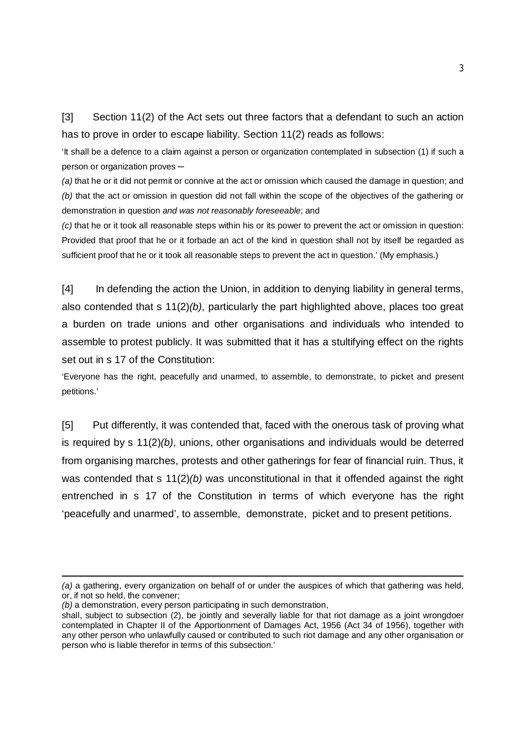[3] Section 11(2) of the Act sets out three factors that a defendant to such an action has to prove in order to escape liability. Section 11(2) reads as follows:

'It shall be a defence to a claim against a person or organization contemplated in subsection (1) if such a person or organization proves ─

*(a)* that he or it did not permit or connive at the act or omission which caused the damage in question; and *(b)* that the act or omission in question did not fall within the scope of the objectives of the gathering or demonstration in question *and was not reasonably foreseeable*; and

*(c)* that he or it took all reasonable steps within his or its power to prevent the act or omission in question: Provided that proof that he or it forbade an act of the kind in question shall not by itself be regarded as sufficient proof that he or it took all reasonable steps to prevent the act in question.' (My emphasis.)

[4] In defending the action the Union, in addition to denying liability in general terms, also contended that s 11(2)*(b)*, particularly the part highlighted above, places too great a burden on trade unions and other organisations and individuals who intended to assemble to protest publicly. It was submitted that it has a stultifying effect on the rights set out in s 17 of the Constitution:

'Everyone has the right, peacefully and unarmed, to assemble, to demonstrate, to picket and present petitions.'

[5] Put differently, it was contended that, faced with the onerous task of proving what is required by s 11(2)*(b)*, unions, other organisations and individuals would be deterred from organising marches, protests and other gatherings for fear of financial ruin. Thus, it was contended that s 11(2)*(b)* was unconstitutional in that it offended against the right entrenched in s 17 of the Constitution in terms of which everyone has the right 'peacefully and unarmed', to assemble, demonstrate, picket and to present petitions.

**.** 

*<sup>(</sup>a)* a gathering, every organization on behalf of or under the auspices of which that gathering was held, or, if not so held, the convener;

*<sup>(</sup>b)* a demonstration, every person participating in such demonstration,

shall, subject to subsection (2), be jointly and severally liable for that riot damage as a joint wrongdoer contemplated in Chapter II of the Apportionment of Damages Act, 1956 (Act 34 of 1956), together with any other person who unlawfully caused or contributed to such riot damage and any other organisation or person who is liable therefor in terms of this subsection.'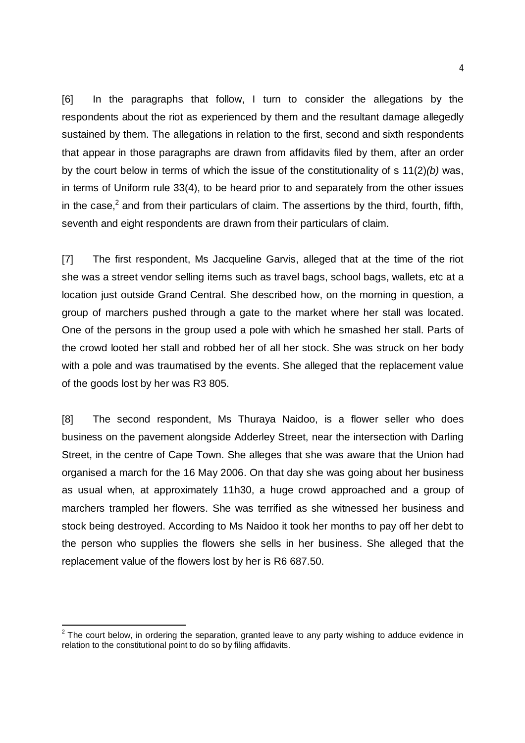[6] In the paragraphs that follow, I turn to consider the allegations by the respondents about the riot as experienced by them and the resultant damage allegedly sustained by them. The allegations in relation to the first, second and sixth respondents that appear in those paragraphs are drawn from affidavits filed by them, after an order by the court below in terms of which the issue of the constitutionality of s 11(2)*(b)* was, in terms of Uniform rule 33(4), to be heard prior to and separately from the other issues in the case,<sup>2</sup> and from their particulars of claim. The assertions by the third, fourth, fifth, seventh and eight respondents are drawn from their particulars of claim.

[7] The first respondent, Ms Jacqueline Garvis, alleged that at the time of the riot she was a street vendor selling items such as travel bags, school bags, wallets, etc at a location just outside Grand Central. She described how, on the morning in question, a group of marchers pushed through a gate to the market where her stall was located. One of the persons in the group used a pole with which he smashed her stall. Parts of the crowd looted her stall and robbed her of all her stock. She was struck on her body with a pole and was traumatised by the events. She alleged that the replacement value of the goods lost by her was R3 805.

[8] The second respondent, Ms Thuraya Naidoo, is a flower seller who does business on the pavement alongside Adderley Street, near the intersection with Darling Street, in the centre of Cape Town. She alleges that she was aware that the Union had organised a march for the 16 May 2006. On that day she was going about her business as usual when, at approximately 11h30, a huge crowd approached and a group of marchers trampled her flowers. She was terrified as she witnessed her business and stock being destroyed. According to Ms Naidoo it took her months to pay off her debt to the person who supplies the flowers she sells in her business. She alleged that the replacement value of the flowers lost by her is R6 687.50.

 2 The court below, in ordering the separation, granted leave to any party wishing to adduce evidence in relation to the constitutional point to do so by filing affidavits.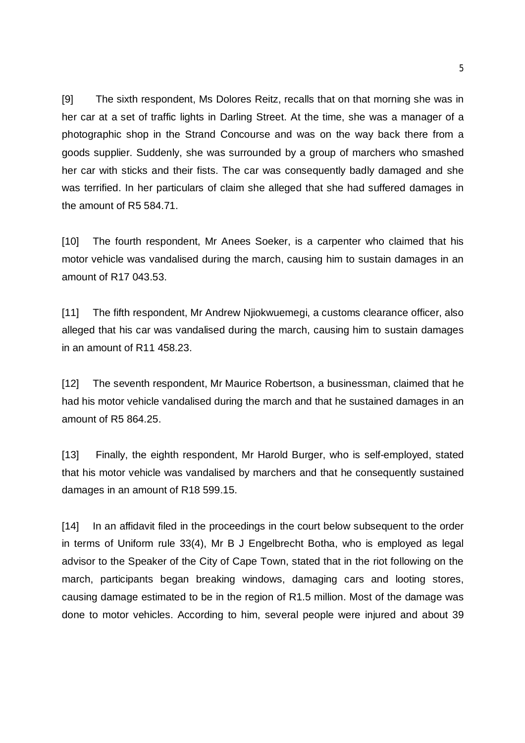[9] The sixth respondent, Ms Dolores Reitz, recalls that on that morning she was in her car at a set of traffic lights in Darling Street. At the time, she was a manager of a photographic shop in the Strand Concourse and was on the way back there from a goods supplier. Suddenly, she was surrounded by a group of marchers who smashed her car with sticks and their fists. The car was consequently badly damaged and she was terrified. In her particulars of claim she alleged that she had suffered damages in the amount of R5 584.71.

[10] The fourth respondent, Mr Anees Soeker, is a carpenter who claimed that his motor vehicle was vandalised during the march, causing him to sustain damages in an amount of R17 043.53.

[11] The fifth respondent, Mr Andrew Njiokwuemegi, a customs clearance officer, also alleged that his car was vandalised during the march, causing him to sustain damages in an amount of R11 458.23.

[12] The seventh respondent, Mr Maurice Robertson, a businessman, claimed that he had his motor vehicle vandalised during the march and that he sustained damages in an amount of R5 864.25.

[13] Finally, the eighth respondent, Mr Harold Burger, who is self-employed, stated that his motor vehicle was vandalised by marchers and that he consequently sustained damages in an amount of R18 599.15.

[14] In an affidavit filed in the proceedings in the court below subsequent to the order in terms of Uniform rule 33(4), Mr B J Engelbrecht Botha, who is employed as legal advisor to the Speaker of the City of Cape Town, stated that in the riot following on the march, participants began breaking windows, damaging cars and looting stores, causing damage estimated to be in the region of R1.5 million. Most of the damage was done to motor vehicles. According to him, several people were injured and about 39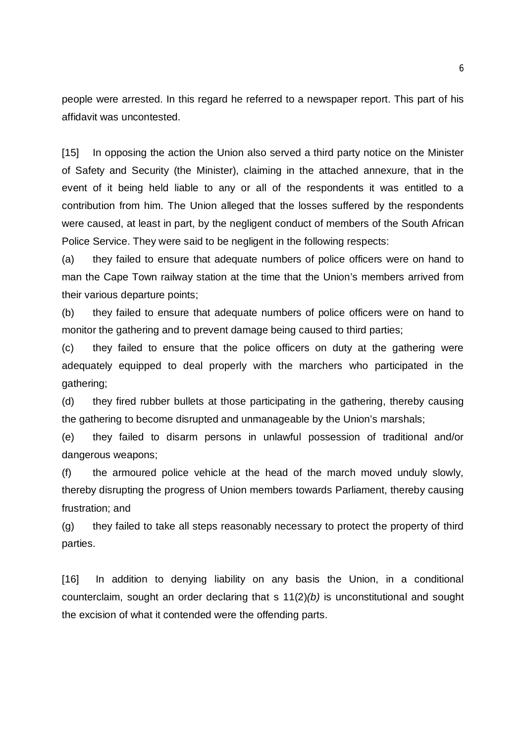people were arrested. In this regard he referred to a newspaper report. This part of his affidavit was uncontested.

[15] In opposing the action the Union also served a third party notice on the Minister of Safety and Security (the Minister), claiming in the attached annexure, that in the event of it being held liable to any or all of the respondents it was entitled to a contribution from him. The Union alleged that the losses suffered by the respondents were caused, at least in part, by the negligent conduct of members of the South African Police Service. They were said to be negligent in the following respects:

(a) they failed to ensure that adequate numbers of police officers were on hand to man the Cape Town railway station at the time that the Union's members arrived from their various departure points;

(b) they failed to ensure that adequate numbers of police officers were on hand to monitor the gathering and to prevent damage being caused to third parties;

(c) they failed to ensure that the police officers on duty at the gathering were adequately equipped to deal properly with the marchers who participated in the gathering;

(d) they fired rubber bullets at those participating in the gathering, thereby causing the gathering to become disrupted and unmanageable by the Union's marshals;

(e) they failed to disarm persons in unlawful possession of traditional and/or dangerous weapons;

(f) the armoured police vehicle at the head of the march moved unduly slowly, thereby disrupting the progress of Union members towards Parliament, thereby causing frustration; and

(g) they failed to take all steps reasonably necessary to protect the property of third parties.

[16] In addition to denying liability on any basis the Union, in a conditional counterclaim, sought an order declaring that s 11(2)*(b)* is unconstitutional and sought the excision of what it contended were the offending parts.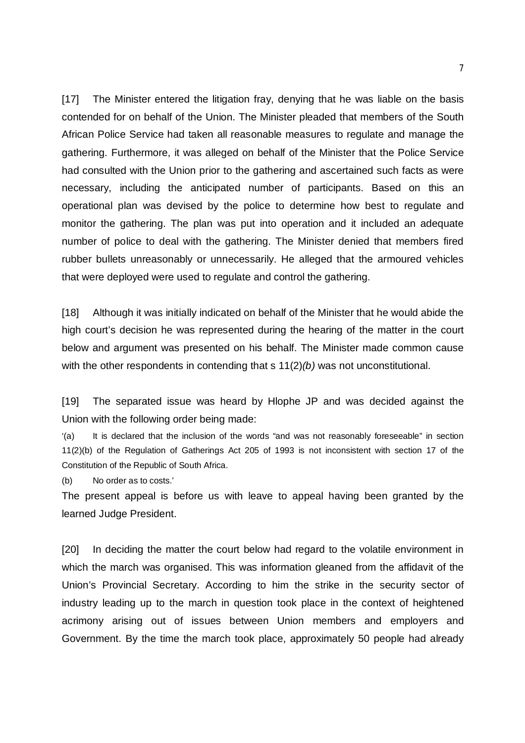[17] The Minister entered the litigation fray, denying that he was liable on the basis contended for on behalf of the Union. The Minister pleaded that members of the South African Police Service had taken all reasonable measures to regulate and manage the gathering. Furthermore, it was alleged on behalf of the Minister that the Police Service had consulted with the Union prior to the gathering and ascertained such facts as were necessary, including the anticipated number of participants. Based on this an operational plan was devised by the police to determine how best to regulate and monitor the gathering. The plan was put into operation and it included an adequate number of police to deal with the gathering. The Minister denied that members fired rubber bullets unreasonably or unnecessarily. He alleged that the armoured vehicles that were deployed were used to regulate and control the gathering.

[18] Although it was initially indicated on behalf of the Minister that he would abide the high court's decision he was represented during the hearing of the matter in the court below and argument was presented on his behalf. The Minister made common cause with the other respondents in contending that s 11(2)*(b)* was not unconstitutional.

[19] The separated issue was heard by Hlophe JP and was decided against the Union with the following order being made:

'(a) It is declared that the inclusion of the words "and was not reasonably foreseeable" in section 11(2)(b) of the Regulation of Gatherings Act 205 of 1993 is not inconsistent with section 17 of the Constitution of the Republic of South Africa.

(b) No order as to costs.'

The present appeal is before us with leave to appeal having been granted by the learned Judge President.

[20] In deciding the matter the court below had regard to the volatile environment in which the march was organised. This was information gleaned from the affidavit of the Union's Provincial Secretary. According to him the strike in the security sector of industry leading up to the march in question took place in the context of heightened acrimony arising out of issues between Union members and employers and Government. By the time the march took place, approximately 50 people had already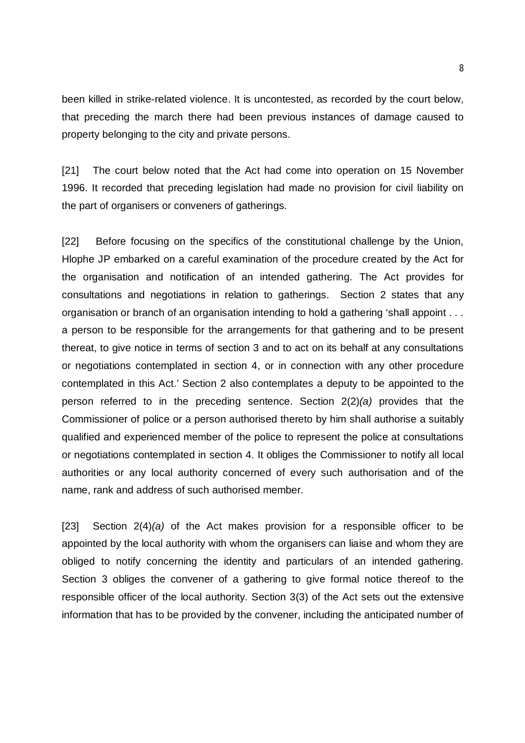been killed in strike-related violence. It is uncontested, as recorded by the court below, that preceding the march there had been previous instances of damage caused to property belonging to the city and private persons.

[21] The court below noted that the Act had come into operation on 15 November 1996. It recorded that preceding legislation had made no provision for civil liability on the part of organisers or conveners of gatherings.

[22] Before focusing on the specifics of the constitutional challenge by the Union, Hlophe JP embarked on a careful examination of the procedure created by the Act for the organisation and notification of an intended gathering. The Act provides for consultations and negotiations in relation to gatherings. Section 2 states that any organisation or branch of an organisation intending to hold a gathering 'shall appoint . . . a person to be responsible for the arrangements for that gathering and to be present thereat, to give notice in terms of section 3 and to act on its behalf at any consultations or negotiations contemplated in section 4, or in connection with any other procedure contemplated in this Act.' Section 2 also contemplates a deputy to be appointed to the person referred to in the preceding sentence. Section 2(2)*(a)* provides that the Commissioner of police or a person authorised thereto by him shall authorise a suitably qualified and experienced member of the police to represent the police at consultations or negotiations contemplated in section 4. It obliges the Commissioner to notify all local authorities or any local authority concerned of every such authorisation and of the name, rank and address of such authorised member.

[23] Section 2(4)*(a)* of the Act makes provision for a responsible officer to be appointed by the local authority with whom the organisers can liaise and whom they are obliged to notify concerning the identity and particulars of an intended gathering. Section 3 obliges the convener of a gathering to give formal notice thereof to the responsible officer of the local authority. Section 3(3) of the Act sets out the extensive information that has to be provided by the convener, including the anticipated number of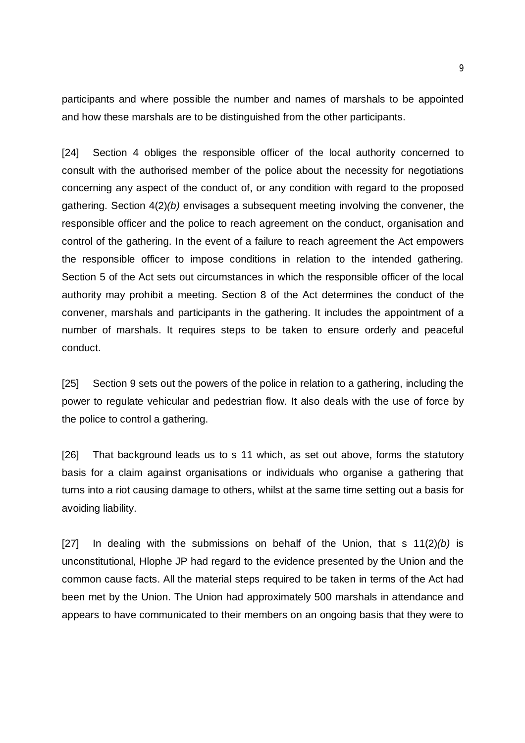participants and where possible the number and names of marshals to be appointed and how these marshals are to be distinguished from the other participants.

[24] Section 4 obliges the responsible officer of the local authority concerned to consult with the authorised member of the police about the necessity for negotiations concerning any aspect of the conduct of, or any condition with regard to the proposed gathering. Section 4(2)*(b)* envisages a subsequent meeting involving the convener, the responsible officer and the police to reach agreement on the conduct, organisation and control of the gathering. In the event of a failure to reach agreement the Act empowers the responsible officer to impose conditions in relation to the intended gathering. Section 5 of the Act sets out circumstances in which the responsible officer of the local authority may prohibit a meeting. Section 8 of the Act determines the conduct of the convener, marshals and participants in the gathering. It includes the appointment of a number of marshals. It requires steps to be taken to ensure orderly and peaceful conduct.

[25] Section 9 sets out the powers of the police in relation to a gathering, including the power to regulate vehicular and pedestrian flow. It also deals with the use of force by the police to control a gathering.

[26] That background leads us to s 11 which, as set out above, forms the statutory basis for a claim against organisations or individuals who organise a gathering that turns into a riot causing damage to others, whilst at the same time setting out a basis for avoiding liability.

[27] In dealing with the submissions on behalf of the Union, that s 11(2)*(b)* is unconstitutional, Hlophe JP had regard to the evidence presented by the Union and the common cause facts. All the material steps required to be taken in terms of the Act had been met by the Union. The Union had approximately 500 marshals in attendance and appears to have communicated to their members on an ongoing basis that they were to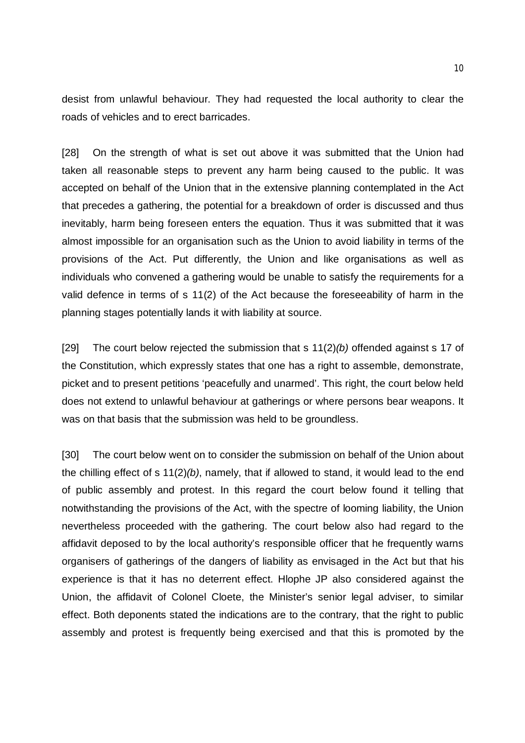desist from unlawful behaviour. They had requested the local authority to clear the roads of vehicles and to erect barricades.

[28] On the strength of what is set out above it was submitted that the Union had taken all reasonable steps to prevent any harm being caused to the public. It was accepted on behalf of the Union that in the extensive planning contemplated in the Act that precedes a gathering, the potential for a breakdown of order is discussed and thus inevitably, harm being foreseen enters the equation. Thus it was submitted that it was almost impossible for an organisation such as the Union to avoid liability in terms of the provisions of the Act. Put differently, the Union and like organisations as well as individuals who convened a gathering would be unable to satisfy the requirements for a valid defence in terms of s 11(2) of the Act because the foreseeability of harm in the planning stages potentially lands it with liability at source.

[29] The court below rejected the submission that s 11(2)*(b)* offended against s 17 of the Constitution, which expressly states that one has a right to assemble, demonstrate, picket and to present petitions 'peacefully and unarmed'. This right, the court below held does not extend to unlawful behaviour at gatherings or where persons bear weapons. It was on that basis that the submission was held to be groundless.

[30] The court below went on to consider the submission on behalf of the Union about the chilling effect of s 11(2)*(b)*, namely, that if allowed to stand, it would lead to the end of public assembly and protest. In this regard the court below found it telling that notwithstanding the provisions of the Act, with the spectre of looming liability, the Union nevertheless proceeded with the gathering. The court below also had regard to the affidavit deposed to by the local authority's responsible officer that he frequently warns organisers of gatherings of the dangers of liability as envisaged in the Act but that his experience is that it has no deterrent effect. Hlophe JP also considered against the Union, the affidavit of Colonel Cloete, the Minister's senior legal adviser, to similar effect. Both deponents stated the indications are to the contrary, that the right to public assembly and protest is frequently being exercised and that this is promoted by the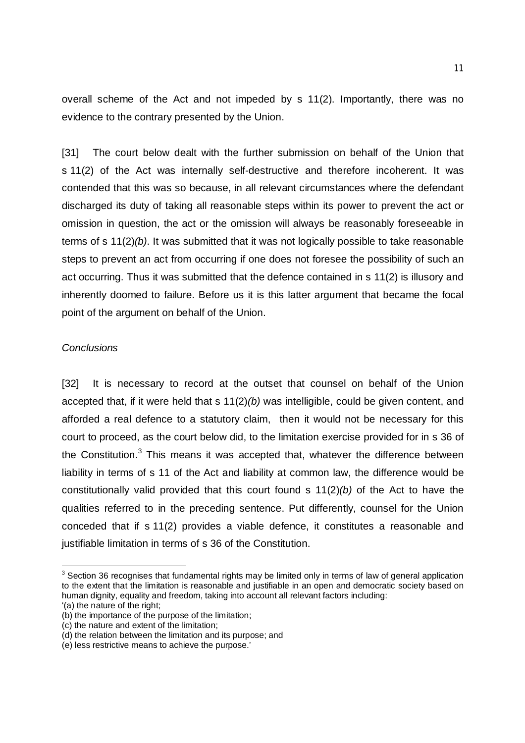overall scheme of the Act and not impeded by s 11(2). Importantly, there was no evidence to the contrary presented by the Union.

[31] The court below dealt with the further submission on behalf of the Union that s 11(2) of the Act was internally self-destructive and therefore incoherent. It was contended that this was so because, in all relevant circumstances where the defendant discharged its duty of taking all reasonable steps within its power to prevent the act or omission in question, the act or the omission will always be reasonably foreseeable in terms of s 11(2)*(b)*. It was submitted that it was not logically possible to take reasonable steps to prevent an act from occurring if one does not foresee the possibility of such an act occurring. Thus it was submitted that the defence contained in s 11(2) is illusory and inherently doomed to failure. Before us it is this latter argument that became the focal point of the argument on behalf of the Union.

#### *Conclusions*

[32] It is necessary to record at the outset that counsel on behalf of the Union accepted that, if it were held that s 11(2)*(b)* was intelligible, could be given content, and afforded a real defence to a statutory claim, then it would not be necessary for this court to proceed, as the court below did, to the limitation exercise provided for in s 36 of the Constitution.<sup>3</sup> This means it was accepted that, whatever the difference between liability in terms of s 11 of the Act and liability at common law, the difference would be constitutionally valid provided that this court found s 11(2)*(b)* of the Act to have the qualities referred to in the preceding sentence. Put differently, counsel for the Union conceded that if s 11(2) provides a viable defence, it constitutes a reasonable and justifiable limitation in terms of s 36 of the Constitution.

-

 $3$  Section 36 recognises that fundamental rights may be limited only in terms of law of general application to the extent that the limitation is reasonable and justifiable in an open and democratic society based on human dignity, equality and freedom, taking into account all relevant factors including:

<sup>&#</sup>x27;(a) the nature of the right;

<sup>(</sup>b) the importance of the purpose of the limitation;

<sup>(</sup>c) the nature and extent of the limitation;

<sup>(</sup>d) the relation between the limitation and its purpose; and

<sup>(</sup>e) less restrictive means to achieve the purpose.'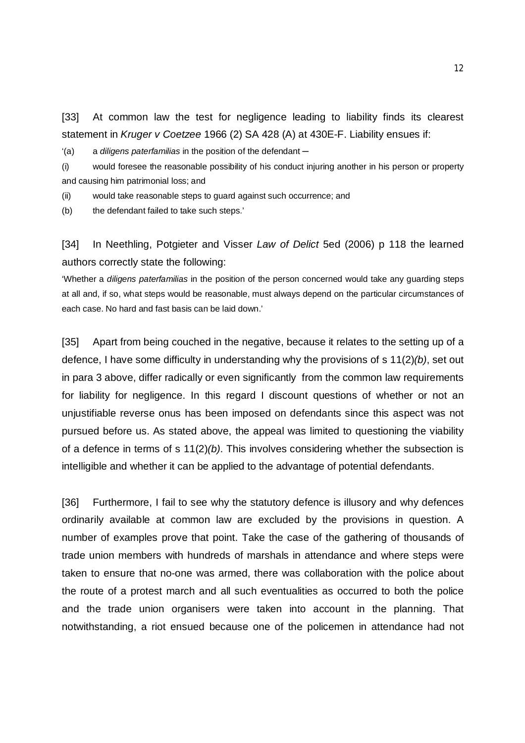[33] At common law the test for negligence leading to liability finds its clearest statement in *Kruger v Coetzee* 1966 (2) SA 428 (A) at 430E-F. Liability ensues if:

'(a) a *diligens paterfamilias* in the position of the defendant ─

(i) would foresee the reasonable possibility of his conduct injuring another in his person or property and causing him patrimonial loss; and

(ii) would take reasonable steps to guard against such occurrence; and

(b) the defendant failed to take such steps.'

[34] In Neethling, Potgieter and Visser *Law of Delict* 5ed (2006) p 118 the learned authors correctly state the following:

'Whether a *diligens paterfamilias* in the position of the person concerned would take any guarding steps at all and, if so, what steps would be reasonable, must always depend on the particular circumstances of each case. No hard and fast basis can be laid down.'

[35] Apart from being couched in the negative, because it relates to the setting up of a defence, I have some difficulty in understanding why the provisions of s 11(2)*(b)*, set out in para 3 above, differ radically or even significantly from the common law requirements for liability for negligence. In this regard I discount questions of whether or not an unjustifiable reverse onus has been imposed on defendants since this aspect was not pursued before us. As stated above, the appeal was limited to questioning the viability of a defence in terms of s 11(2)*(b)*. This involves considering whether the subsection is intelligible and whether it can be applied to the advantage of potential defendants.

[36] Furthermore, I fail to see why the statutory defence is illusory and why defences ordinarily available at common law are excluded by the provisions in question. A number of examples prove that point. Take the case of the gathering of thousands of trade union members with hundreds of marshals in attendance and where steps were taken to ensure that no-one was armed, there was collaboration with the police about the route of a protest march and all such eventualities as occurred to both the police and the trade union organisers were taken into account in the planning. That notwithstanding, a riot ensued because one of the policemen in attendance had not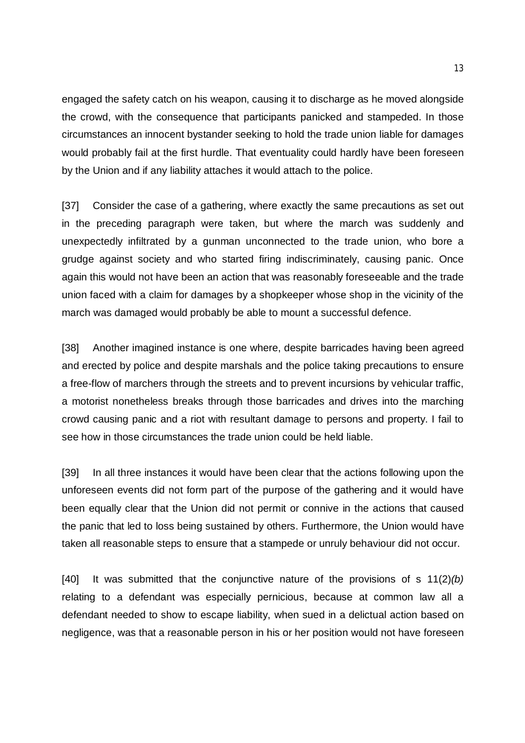engaged the safety catch on his weapon, causing it to discharge as he moved alongside the crowd, with the consequence that participants panicked and stampeded. In those circumstances an innocent bystander seeking to hold the trade union liable for damages would probably fail at the first hurdle. That eventuality could hardly have been foreseen by the Union and if any liability attaches it would attach to the police.

[37] Consider the case of a gathering, where exactly the same precautions as set out in the preceding paragraph were taken, but where the march was suddenly and unexpectedly infiltrated by a gunman unconnected to the trade union, who bore a grudge against society and who started firing indiscriminately, causing panic. Once again this would not have been an action that was reasonably foreseeable and the trade union faced with a claim for damages by a shopkeeper whose shop in the vicinity of the march was damaged would probably be able to mount a successful defence.

[38] Another imagined instance is one where, despite barricades having been agreed and erected by police and despite marshals and the police taking precautions to ensure a free-flow of marchers through the streets and to prevent incursions by vehicular traffic, a motorist nonetheless breaks through those barricades and drives into the marching crowd causing panic and a riot with resultant damage to persons and property. I fail to see how in those circumstances the trade union could be held liable.

[39] In all three instances it would have been clear that the actions following upon the unforeseen events did not form part of the purpose of the gathering and it would have been equally clear that the Union did not permit or connive in the actions that caused the panic that led to loss being sustained by others. Furthermore, the Union would have taken all reasonable steps to ensure that a stampede or unruly behaviour did not occur.

[40] It was submitted that the conjunctive nature of the provisions of s 11(2)*(b)* relating to a defendant was especially pernicious, because at common law all a defendant needed to show to escape liability, when sued in a delictual action based on negligence, was that a reasonable person in his or her position would not have foreseen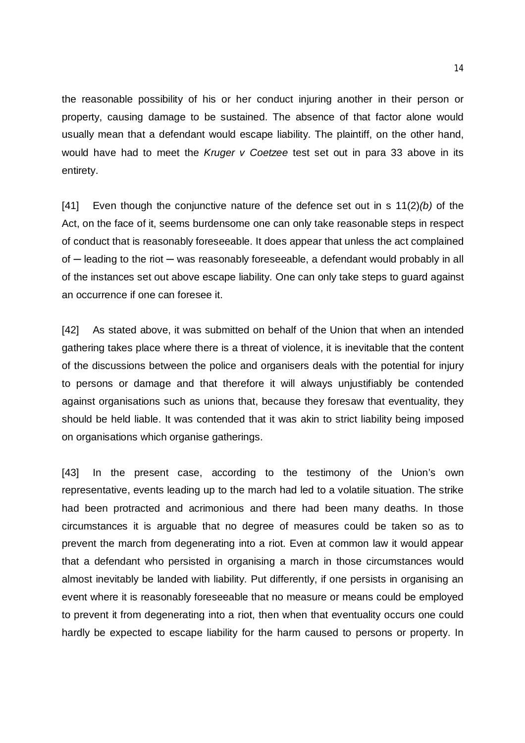the reasonable possibility of his or her conduct injuring another in their person or property, causing damage to be sustained. The absence of that factor alone would usually mean that a defendant would escape liability. The plaintiff, on the other hand, would have had to meet the *Kruger v Coetzee* test set out in para 33 above in its entirety.

[41] Even though the conjunctive nature of the defence set out in s 11(2)*(b)* of the Act, on the face of it, seems burdensome one can only take reasonable steps in respect of conduct that is reasonably foreseeable. It does appear that unless the act complained of — leading to the riot — was reasonably foreseeable, a defendant would probably in all of the instances set out above escape liability. One can only take steps to guard against an occurrence if one can foresee it.

[42] As stated above, it was submitted on behalf of the Union that when an intended gathering takes place where there is a threat of violence, it is inevitable that the content of the discussions between the police and organisers deals with the potential for injury to persons or damage and that therefore it will always unjustifiably be contended against organisations such as unions that, because they foresaw that eventuality, they should be held liable. It was contended that it was akin to strict liability being imposed on organisations which organise gatherings.

[43] In the present case, according to the testimony of the Union's own representative, events leading up to the march had led to a volatile situation. The strike had been protracted and acrimonious and there had been many deaths. In those circumstances it is arguable that no degree of measures could be taken so as to prevent the march from degenerating into a riot. Even at common law it would appear that a defendant who persisted in organising a march in those circumstances would almost inevitably be landed with liability. Put differently, if one persists in organising an event where it is reasonably foreseeable that no measure or means could be employed to prevent it from degenerating into a riot, then when that eventuality occurs one could hardly be expected to escape liability for the harm caused to persons or property. In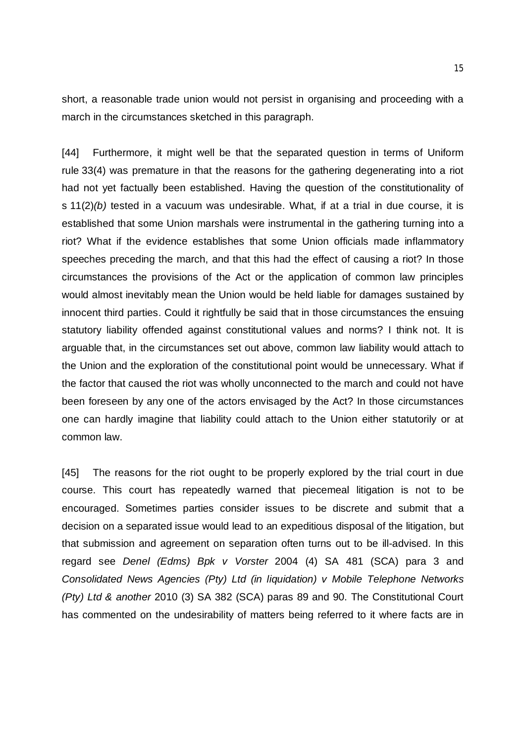short, a reasonable trade union would not persist in organising and proceeding with a march in the circumstances sketched in this paragraph.

[44] Furthermore, it might well be that the separated question in terms of Uniform rule 33(4) was premature in that the reasons for the gathering degenerating into a riot had not yet factually been established. Having the question of the constitutionality of s 11(2)*(b)* tested in a vacuum was undesirable. What, if at a trial in due course, it is established that some Union marshals were instrumental in the gathering turning into a riot? What if the evidence establishes that some Union officials made inflammatory speeches preceding the march, and that this had the effect of causing a riot? In those circumstances the provisions of the Act or the application of common law principles would almost inevitably mean the Union would be held liable for damages sustained by innocent third parties. Could it rightfully be said that in those circumstances the ensuing statutory liability offended against constitutional values and norms? I think not. It is arguable that, in the circumstances set out above, common law liability would attach to the Union and the exploration of the constitutional point would be unnecessary. What if the factor that caused the riot was wholly unconnected to the march and could not have been foreseen by any one of the actors envisaged by the Act? In those circumstances one can hardly imagine that liability could attach to the Union either statutorily or at common law.

[45] The reasons for the riot ought to be properly explored by the trial court in due course. This court has repeatedly warned that piecemeal litigation is not to be encouraged. Sometimes parties consider issues to be discrete and submit that a decision on a separated issue would lead to an expeditious disposal of the litigation, but that submission and agreement on separation often turns out to be ill-advised. In this regard see *Denel (Edms) Bpk v Vorster* 2004 (4) SA 481 (SCA) para 3 and *Consolidated News Agencies (Pty) Ltd (in liquidation) v Mobile Telephone Networks (Pty) Ltd & another* 2010 (3) SA 382 (SCA) paras 89 and 90. The Constitutional Court has commented on the undesirability of matters being referred to it where facts are in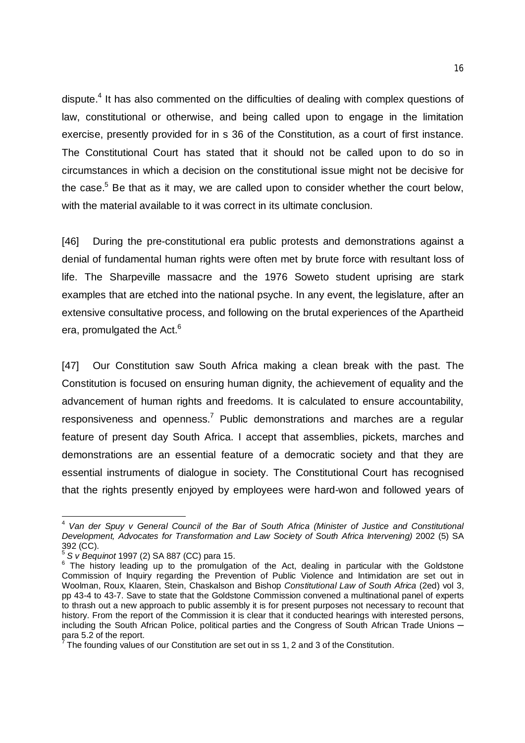dispute.<sup>4</sup> It has also commented on the difficulties of dealing with complex questions of law, constitutional or otherwise, and being called upon to engage in the limitation exercise, presently provided for in s 36 of the Constitution, as a court of first instance. The Constitutional Court has stated that it should not be called upon to do so in circumstances in which a decision on the constitutional issue might not be decisive for the case.<sup>5</sup> Be that as it may, we are called upon to consider whether the court below, with the material available to it was correct in its ultimate conclusion.

[46] During the pre-constitutional era public protests and demonstrations against a denial of fundamental human rights were often met by brute force with resultant loss of life. The Sharpeville massacre and the 1976 Soweto student uprising are stark examples that are etched into the national psyche. In any event, the legislature, after an extensive consultative process, and following on the brutal experiences of the Apartheid era, promulgated the Act.<sup>6</sup>

[47] Our Constitution saw South Africa making a clean break with the past. The Constitution is focused on ensuring human dignity, the achievement of equality and the advancement of human rights and freedoms. It is calculated to ensure accountability, responsiveness and openness.<sup>7</sup> Public demonstrations and marches are a regular feature of present day South Africa. I accept that assemblies, pickets, marches and demonstrations are an essential feature of a democratic society and that they are essential instruments of dialogue in society. The Constitutional Court has recognised that the rights presently enjoyed by employees were hard-won and followed years of

 4 *Van der Spuy v General Council of the Bar of South Africa (Minister of Justice and Constitutional Development, Advocates for Transformation and Law Society of South Africa Intervening)* 2002 (5) SA 392 (CC).<br>5 S.*u* Beau

*S v Bequinot* 1997 (2) SA 887 (CC) para 15.

<sup>&</sup>lt;sup>6</sup> The history leading up to the promulgation of the Act, dealing in particular with the Goldstone Commission of Inquiry regarding the Prevention of Public Violence and Intimidation are set out in Woolman, Roux, Klaaren, Stein, Chaskalson and Bishop *Constitutional Law of South Africa* (2ed) vol 3, pp 43-4 to 43-7. Save to state that the Goldstone Commission convened a multinational panel of experts to thrash out a new approach to public assembly it is for present purposes not necessary to recount that history. From the report of the Commission it is clear that it conducted hearings with interested persons, including the South African Police, political parties and the Congress of South African Trade Unions para 5.2 of the report.<br><sup>7</sup> The founding values

The founding values of our Constitution are set out in ss 1, 2 and 3 of the Constitution.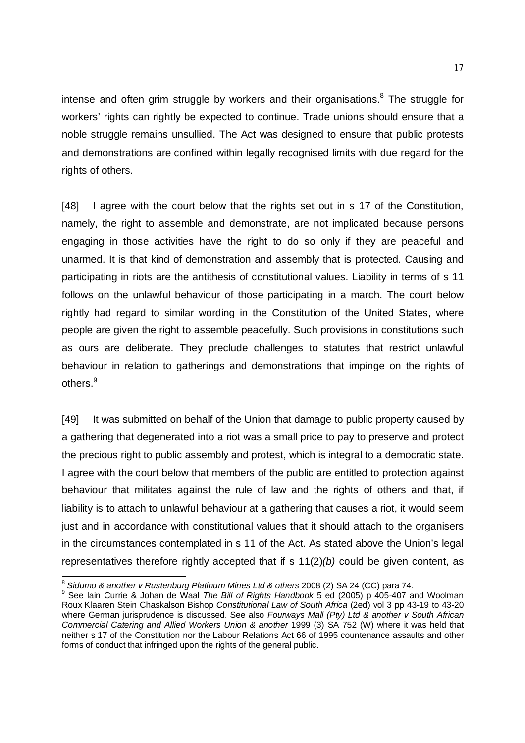intense and often grim struggle by workers and their organisations.<sup>8</sup> The struggle for workers' rights can rightly be expected to continue. Trade unions should ensure that a noble struggle remains unsullied. The Act was designed to ensure that public protests and demonstrations are confined within legally recognised limits with due regard for the rights of others.

[48] I agree with the court below that the rights set out in s 17 of the Constitution, namely, the right to assemble and demonstrate, are not implicated because persons engaging in those activities have the right to do so only if they are peaceful and unarmed. It is that kind of demonstration and assembly that is protected. Causing and participating in riots are the antithesis of constitutional values. Liability in terms of s 11 follows on the unlawful behaviour of those participating in a march. The court below rightly had regard to similar wording in the Constitution of the United States, where people are given the right to assemble peacefully. Such provisions in constitutions such as ours are deliberate. They preclude challenges to statutes that restrict unlawful behaviour in relation to gatherings and demonstrations that impinge on the rights of others.<sup>9</sup>

[49] It was submitted on behalf of the Union that damage to public property caused by a gathering that degenerated into a riot was a small price to pay to preserve and protect the precious right to public assembly and protest, which is integral to a democratic state. I agree with the court below that members of the public are entitled to protection against behaviour that militates against the rule of law and the rights of others and that, if liability is to attach to unlawful behaviour at a gathering that causes a riot, it would seem just and in accordance with constitutional values that it should attach to the organisers in the circumstances contemplated in s 11 of the Act. As stated above the Union's legal representatives therefore rightly accepted that if s 11(2)*(b)* could be given content, as

**.** 

<sup>8</sup> *Sidumo & another v Rustenburg Platinum Mines Ltd & others* 2008 (2) SA 24 (CC) para 74.

<sup>9</sup> See Iain Currie & Johan de Waal *The Bill of Rights Handbook* 5 ed (2005) p 405-407 and Woolman Roux Klaaren Stein Chaskalson Bishop *Constitutional Law of South Africa* (2ed) vol 3 pp 43-19 to 43-20 where German jurisprudence is discussed. See also *Fourways Mall (Pty) Ltd & another v South African Commercial Catering and Allied Workers Union & another* 1999 (3) SA 752 (W) where it was held that neither s 17 of the Constitution nor the Labour Relations Act 66 of 1995 countenance assaults and other forms of conduct that infringed upon the rights of the general public.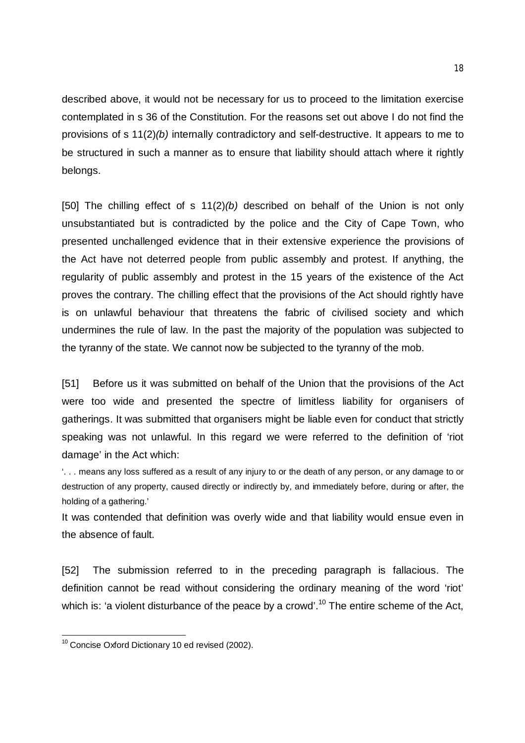described above, it would not be necessary for us to proceed to the limitation exercise contemplated in s 36 of the Constitution. For the reasons set out above I do not find the provisions of s 11(2)*(b)* internally contradictory and self-destructive. It appears to me to be structured in such a manner as to ensure that liability should attach where it rightly belongs.

[50] The chilling effect of s 11(2)*(b)* described on behalf of the Union is not only unsubstantiated but is contradicted by the police and the City of Cape Town, who presented unchallenged evidence that in their extensive experience the provisions of the Act have not deterred people from public assembly and protest. If anything, the regularity of public assembly and protest in the 15 years of the existence of the Act proves the contrary. The chilling effect that the provisions of the Act should rightly have is on unlawful behaviour that threatens the fabric of civilised society and which undermines the rule of law. In the past the majority of the population was subjected to the tyranny of the state. We cannot now be subjected to the tyranny of the mob.

[51] Before us it was submitted on behalf of the Union that the provisions of the Act were too wide and presented the spectre of limitless liability for organisers of gatherings. It was submitted that organisers might be liable even for conduct that strictly speaking was not unlawful. In this regard we were referred to the definition of 'riot damage' in the Act which:

'. . . means any loss suffered as a result of any injury to or the death of any person, or any damage to or destruction of any property, caused directly or indirectly by, and immediately before, during or after, the holding of a gathering.'

It was contended that definition was overly wide and that liability would ensue even in the absence of fault.

[52] The submission referred to in the preceding paragraph is fallacious. The definition cannot be read without considering the ordinary meaning of the word 'riot' which is: 'a violent disturbance of the peace by a crowd'.<sup>10</sup> The entire scheme of the Act,

<sup>-</sup> $10$  Concise Oxford Dictionary 10 ed revised (2002).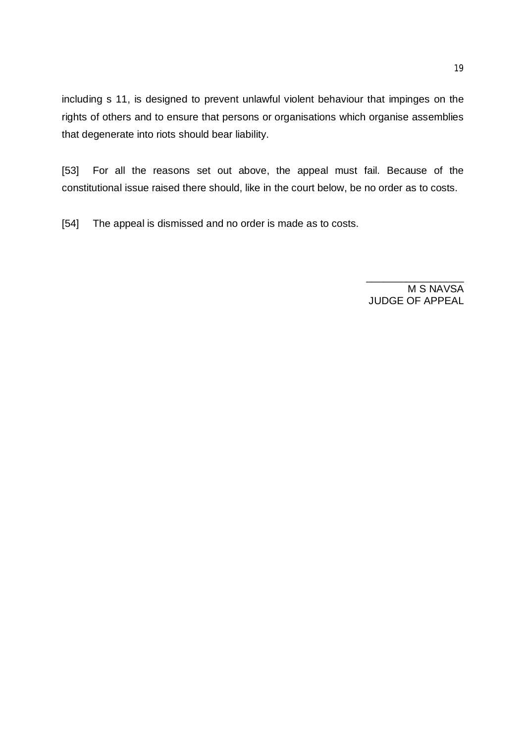including s 11, is designed to prevent unlawful violent behaviour that impinges on the rights of others and to ensure that persons or organisations which organise assemblies that degenerate into riots should bear liability.

[53] For all the reasons set out above, the appeal must fail. Because of the constitutional issue raised there should, like in the court below, be no order as to costs.

[54] The appeal is dismissed and no order is made as to costs.

M S NAVSA JUDGE OF APPEAL

\_\_\_\_\_\_\_\_\_\_\_\_\_\_\_\_\_